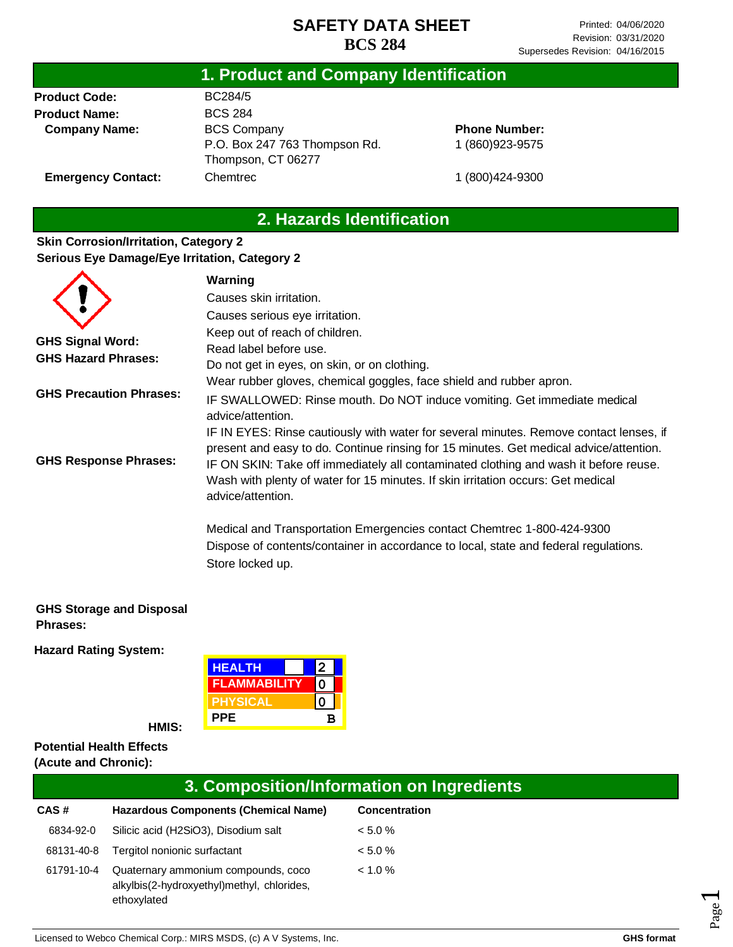## **1. Product and Company Identification**

**Product Code: Product Name: Company Name:** BC284/5 BCS 284 BCS Company P.O. Box 247 763 Thompson Rd. Thompson, CT 06277 Chemtrec

**Phone Number:** 1 (860)923-9575

1 (800)424-9300

**Emergency Contact:**

# **2. Hazards Identification**

### **Skin Corrosion/Irritation, Category 2 Serious Eye Damage/Eye Irritation, Category 2**

|                                | Warning                                                                                                                                                                                                                                                                                                                                                                           |
|--------------------------------|-----------------------------------------------------------------------------------------------------------------------------------------------------------------------------------------------------------------------------------------------------------------------------------------------------------------------------------------------------------------------------------|
|                                | Causes skin irritation.                                                                                                                                                                                                                                                                                                                                                           |
|                                | Causes serious eye irritation.                                                                                                                                                                                                                                                                                                                                                    |
|                                | Keep out of reach of children.                                                                                                                                                                                                                                                                                                                                                    |
| <b>GHS Signal Word:</b>        | Read label before use.                                                                                                                                                                                                                                                                                                                                                            |
| <b>GHS Hazard Phrases:</b>     | Do not get in eyes, on skin, or on clothing.                                                                                                                                                                                                                                                                                                                                      |
|                                | Wear rubber gloves, chemical goggles, face shield and rubber apron.                                                                                                                                                                                                                                                                                                               |
| <b>GHS Precaution Phrases:</b> | IF SWALLOWED: Rinse mouth. Do NOT induce vomiting. Get immediate medical<br>advice/attention.                                                                                                                                                                                                                                                                                     |
| <b>GHS Response Phrases:</b>   | IF IN EYES: Rinse cautiously with water for several minutes. Remove contact lenses, if<br>present and easy to do. Continue rinsing for 15 minutes. Get medical advice/attention.<br>IF ON SKIN: Take off immediately all contaminated clothing and wash it before reuse.<br>Wash with plenty of water for 15 minutes. If skin irritation occurs: Get medical<br>advice/attention. |
|                                | Medical and Transportation Emergencies contact Chemtrec 1-800-424-9300<br>Dispose of contents/container in accordance to local, state and federal regulations.<br>Store locked up.                                                                                                                                                                                                |

#### **GHS Storage and Disposal Phrases:**

**Hazard Rating System:**

| <b>HEALTH</b>       |   |  |
|---------------------|---|--|
| <b>FLAMMABILITY</b> |   |  |
| PHYSICAL            |   |  |
| <b>PPE</b>          | R |  |

**HMIS:**

#### **Potential Health Effects (Acute and Chronic):**

## **3. Composition/Information on Ingredients**

| CAS#       | <b>Hazardous Components (Chemical Name)</b>                                                      | <b>Concentration</b> |
|------------|--------------------------------------------------------------------------------------------------|----------------------|
| 6834-92-0  | Silicic acid (H2SiO3), Disodium salt                                                             | $< 5.0 \%$           |
| 68131-40-8 | Tergitol nonionic surfactant                                                                     | $< 5.0 \%$           |
| 61791-10-4 | Quaternary ammonium compounds, coco<br>alkylbis(2-hydroxyethyl)methyl, chlorides,<br>ethoxylated | $< 1.0 \%$           |

Page  $\overline{\phantom{0}}$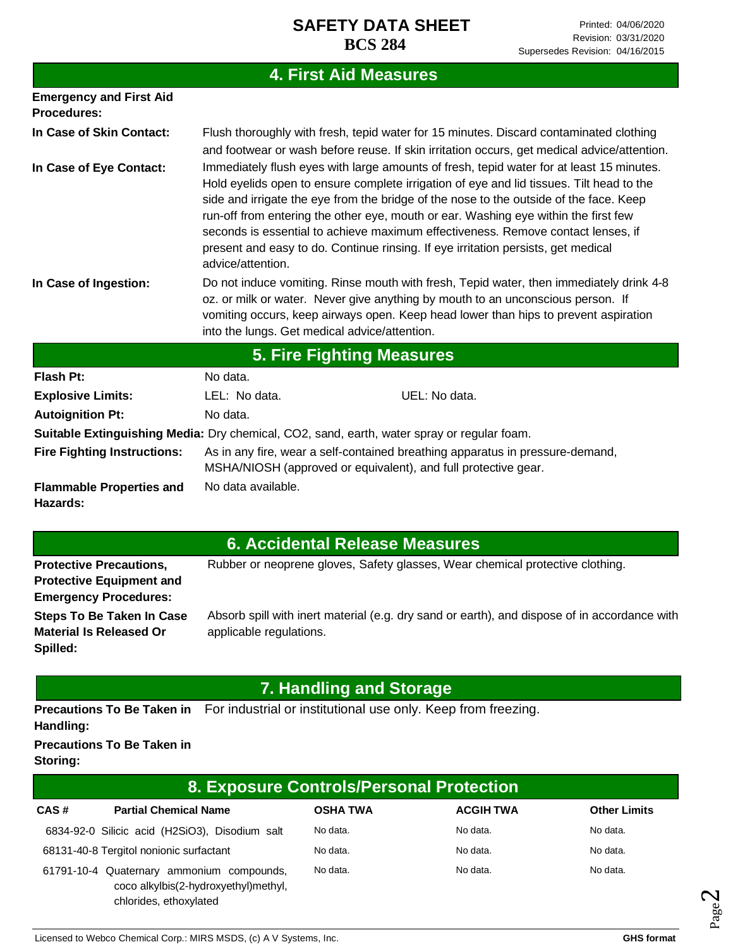#### **Emergency and First Aid Procedures: In Case of Skin Contact: In Case of Eye Contact: In Case of Ingestion:** Flush thoroughly with fresh, tepid water for 15 minutes. Discard contaminated clothing and footwear or wash before reuse. If skin irritation occurs, get medical advice/attention. Immediately flush eyes with large amounts of fresh, tepid water for at least 15 minutes. Hold eyelids open to ensure complete irrigation of eye and lid tissues. Tilt head to the side and irrigate the eye from the bridge of the nose to the outside of the face. Keep run-off from entering the other eye, mouth or ear. Washing eye within the first few seconds is essential to achieve maximum effectiveness. Remove contact lenses, if present and easy to do. Continue rinsing. If eye irritation persists, get medical advice/attention. Do not induce vomiting. Rinse mouth with fresh, Tepid water, then immediately drink 4-8 oz. or milk or water. Never give anything by mouth to an unconscious person. If vomiting occurs, keep airways open. Keep head lower than hips to prevent aspiration into the lungs. Get medical advice/attention. **4. First Aid Measures**

| 5. Fire Fighting Measures                                                                  |                                                                                                                                                 |               |  |  |
|--------------------------------------------------------------------------------------------|-------------------------------------------------------------------------------------------------------------------------------------------------|---------------|--|--|
| Flash Pt:                                                                                  | No data.                                                                                                                                        |               |  |  |
| <b>Explosive Limits:</b>                                                                   | LEL: No data.                                                                                                                                   | UEL: No data. |  |  |
| <b>Autoignition Pt:</b>                                                                    | No data.                                                                                                                                        |               |  |  |
| Suitable Extinguishing Media: Dry chemical, CO2, sand, earth, water spray or regular foam. |                                                                                                                                                 |               |  |  |
| <b>Fire Fighting Instructions:</b>                                                         | As in any fire, wear a self-contained breathing apparatus in pressure-demand,<br>MSHA/NIOSH (approved or equivalent), and full protective gear. |               |  |  |
| <b>Flammable Properties and</b><br>Hazards:                                                | No data available.                                                                                                                              |               |  |  |

# **6. Accidental Release Measures**

| <b>Protective Precautions,</b>  | Rubber or neoprene gloves, Safety glasses, Wear chemical protective clothing.                |
|---------------------------------|----------------------------------------------------------------------------------------------|
| <b>Protective Equipment and</b> |                                                                                              |
| <b>Emergency Procedures:</b>    |                                                                                              |
| Steps To Be Taken In Case       | Absorb spill with inert material (e.g. dry sand or earth), and dispose of in accordance with |
| <b>Material Is Released Or</b>  | applicable regulations.                                                                      |
| Spilled:                        |                                                                                              |

## **7. Handling and Storage**

Precautions To Be Taken in For industrial or institutional use only. Keep from freezing.

### **Handling:**

**Precautions To Be Taken in** 

**Storing:**

| 8. Exposure Controls/Personal Protection |                                                                                                             |                 |                  |                     |  |
|------------------------------------------|-------------------------------------------------------------------------------------------------------------|-----------------|------------------|---------------------|--|
| CAS#                                     | <b>Partial Chemical Name</b>                                                                                | <b>OSHA TWA</b> | <b>ACGIH TWA</b> | <b>Other Limits</b> |  |
|                                          | 6834-92-0 Silicic acid (H2SiO3), Disodium salt                                                              | No data.        | No data.         | No data.            |  |
|                                          | 68131-40-8 Tergitol nonionic surfactant                                                                     | No data.        | No data.         | No data.            |  |
|                                          | 61791-10-4 Quaternary ammonium compounds,<br>coco alkylbis(2-hydroxyethyl)methyl,<br>chlorides, ethoxylated | No data.        | No data.         | No data.            |  |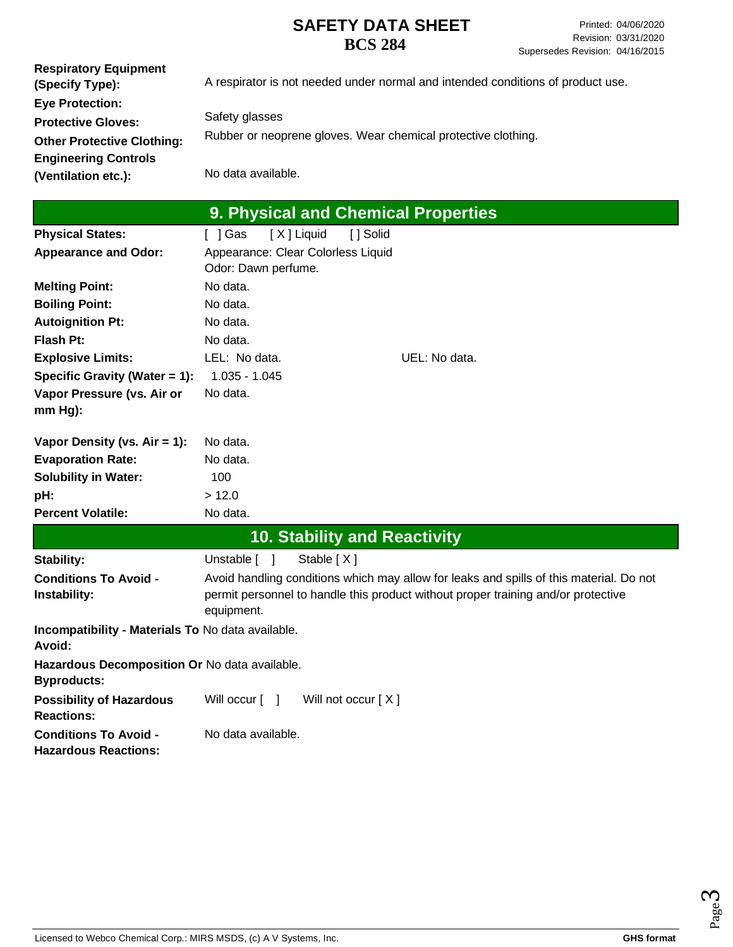| <b>Respiratory Equipment</b>      |                                                                                 |
|-----------------------------------|---------------------------------------------------------------------------------|
| (Specify Type):                   | A respirator is not needed under normal and intended conditions of product use. |
| <b>Eye Protection:</b>            |                                                                                 |
| <b>Protective Gloves:</b>         | Safety glasses                                                                  |
| <b>Other Protective Clothing:</b> | Rubber or neoprene gloves. Wear chemical protective clothing.                   |
| <b>Engineering Controls</b>       |                                                                                 |
| (Ventilation etc.):               | No data available.                                                              |

| ∣ 9. Physical and Chemical Properties |  |
|---------------------------------------|--|
|---------------------------------------|--|

| <b>Physical States:</b>                                             | [X] Liquid<br>[ ] Gas                                     | [ ] Solid                                                                                                                                                                    |
|---------------------------------------------------------------------|-----------------------------------------------------------|------------------------------------------------------------------------------------------------------------------------------------------------------------------------------|
| <b>Appearance and Odor:</b>                                         | Appearance: Clear Colorless Liquid<br>Odor: Dawn perfume. |                                                                                                                                                                              |
| <b>Melting Point:</b>                                               | No data.                                                  |                                                                                                                                                                              |
| <b>Boiling Point:</b>                                               | No data.                                                  |                                                                                                                                                                              |
| <b>Autoignition Pt:</b>                                             | No data.                                                  |                                                                                                                                                                              |
| <b>Flash Pt:</b>                                                    | No data.                                                  |                                                                                                                                                                              |
| <b>Explosive Limits:</b>                                            | LEL: No data.                                             | UEL: No data.                                                                                                                                                                |
| Specific Gravity (Water = 1):                                       | $1.035 - 1.045$                                           |                                                                                                                                                                              |
| Vapor Pressure (vs. Air or<br>mm Hg):                               | No data.                                                  |                                                                                                                                                                              |
| Vapor Density (vs. Air = 1):                                        | No data.                                                  |                                                                                                                                                                              |
| <b>Evaporation Rate:</b>                                            | No data.                                                  |                                                                                                                                                                              |
| <b>Solubility in Water:</b>                                         | 100                                                       |                                                                                                                                                                              |
| pH:                                                                 | > 12.0                                                    |                                                                                                                                                                              |
| <b>Percent Volatile:</b>                                            | No data.                                                  |                                                                                                                                                                              |
|                                                                     |                                                           | <b>10. Stability and Reactivity</b>                                                                                                                                          |
| Stability:                                                          | Stable $[X]$<br>Unstable [ ]                              |                                                                                                                                                                              |
| <b>Conditions To Avoid -</b><br>Instability:                        | equipment.                                                | Avoid handling conditions which may allow for leaks and spills of this material. Do not<br>permit personnel to handle this product without proper training and/or protective |
| Incompatibility - Materials To No data available.<br>Avoid:         |                                                           |                                                                                                                                                                              |
| Hazardous Decomposition Or No data available.<br><b>Byproducts:</b> |                                                           |                                                                                                                                                                              |
| <b>Possibility of Hazardous</b><br><b>Reactions:</b>                | Will occur [ ]                                            | Will not occur [X]                                                                                                                                                           |
| <b>Conditions To Avoid -</b><br><b>Hazardous Reactions:</b>         | No data available.                                        |                                                                                                                                                                              |

Page ო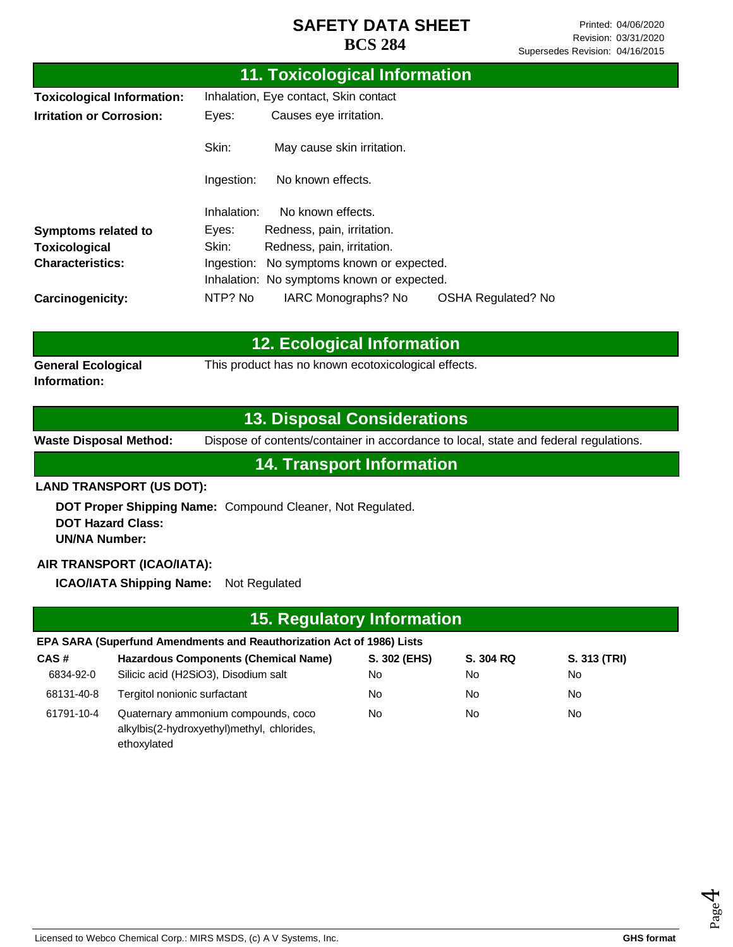| 11. Toxicological Information     |                                       |                                            |                           |  |
|-----------------------------------|---------------------------------------|--------------------------------------------|---------------------------|--|
| <b>Toxicological Information:</b> | Inhalation, Eye contact, Skin contact |                                            |                           |  |
| <b>Irritation or Corrosion:</b>   | Eyes:                                 | Causes eye irritation.                     |                           |  |
|                                   | Skin:                                 | May cause skin irritation.                 |                           |  |
|                                   | Ingestion:                            | No known effects.                          |                           |  |
|                                   | Inhalation:                           | No known effects.                          |                           |  |
| <b>Symptoms related to</b>        | Eyes:                                 | Redness, pain, irritation.                 |                           |  |
| Toxicological                     | Skin:                                 | Redness, pain, irritation.                 |                           |  |
| <b>Characteristics:</b>           | Ingestion:                            | No symptoms known or expected.             |                           |  |
|                                   |                                       | Inhalation: No symptoms known or expected. |                           |  |
| Carcinogenicity:                  | NTP? No                               | IARC Monographs? No                        | <b>OSHA Regulated? No</b> |  |

|                                           | <b>12. Ecological Information</b>                   |
|-------------------------------------------|-----------------------------------------------------|
| <b>General Ecological</b><br>Information: | This product has no known ecotoxicological effects. |
|                                           |                                                     |

## **13. Disposal Considerations**

**Waste Disposal Method:** Dispose of contents/container in accordance to local, state and federal regulations.

**14. Transport Information**

### **LAND TRANSPORT (US DOT):**

**DOT Proper Shipping Name:**  Compound Cleaner, Not Regulated. **DOT Hazard Class: UN/NA Number:**

### **AIR TRANSPORT (ICAO/IATA):**

**ICAO/IATA Shipping Name:** Not Regulated

|            | 15. Regulatory Information                                                                       |              |           |              |  |  |  |
|------------|--------------------------------------------------------------------------------------------------|--------------|-----------|--------------|--|--|--|
|            | EPA SARA (Superfund Amendments and Reauthorization Act of 1986) Lists                            |              |           |              |  |  |  |
| CAS#       | <b>Hazardous Components (Chemical Name)</b>                                                      | S. 302 (EHS) | S. 304 RQ | S. 313 (TRI) |  |  |  |
| 6834-92-0  | Silicic acid (H2SiO3), Disodium salt                                                             | No           | No        | No.          |  |  |  |
| 68131-40-8 | Tergitol nonionic surfactant                                                                     | No           | No        | No.          |  |  |  |
| 61791-10-4 | Quaternary ammonium compounds, coco<br>alkylbis(2-hydroxyethyl)methyl, chlorides,<br>ethoxylated | No.          | No.       | No.          |  |  |  |